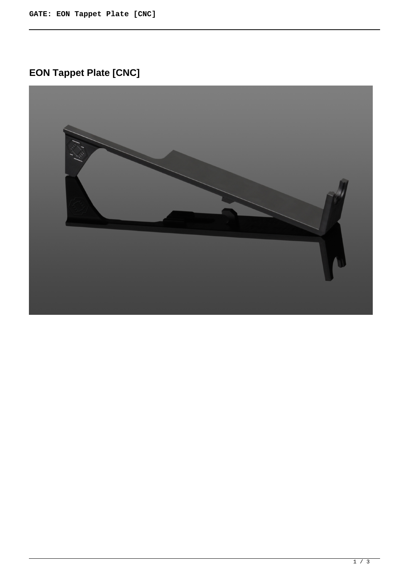## **EON Tappet Plate [CNC]**

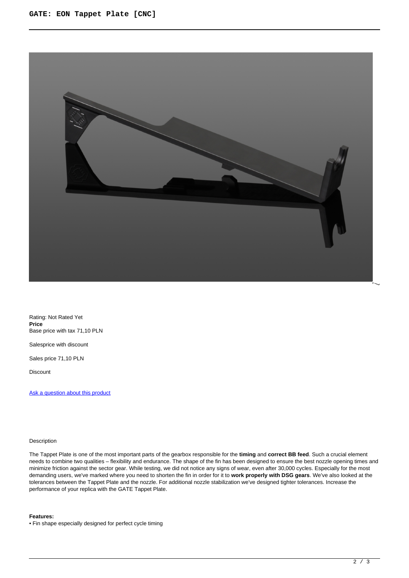

Rating: Not Rated Yet **Price**  Base price with tax 71,10 PLN

Salesprice with discount

Sales price 71,10 PLN

Discount

[Ask a question about this product](https://gatee.eu/index.php?option=com_virtuemart&view=productdetails&task=askquestion&virtuemart_product_id=94&virtuemart_category_id=1&tmpl=component)

## Description

The Tappet Plate is one of the most important parts of the gearbox responsible for the **timing** and **correct BB feed**. Such a crucial element needs to combine two qualities – flexibility and endurance. The shape of the fin has been designed to ensure the best nozzle opening times and minimize friction against the sector gear. While testing, we did not notice any signs of wear, even after 30,000 cycles. Especially for the most demanding users, we've marked where you need to shorten the fin in order for it to **work properly with DSG gears**. We've also looked at the tolerances between the Tappet Plate and the nozzle. For additional nozzle stabilization we've designed tighter tolerances. Increase the performance of your replica with the GATE Tappet Plate.

## **Features:**

• Fin shape especially designed for perfect cycle timing